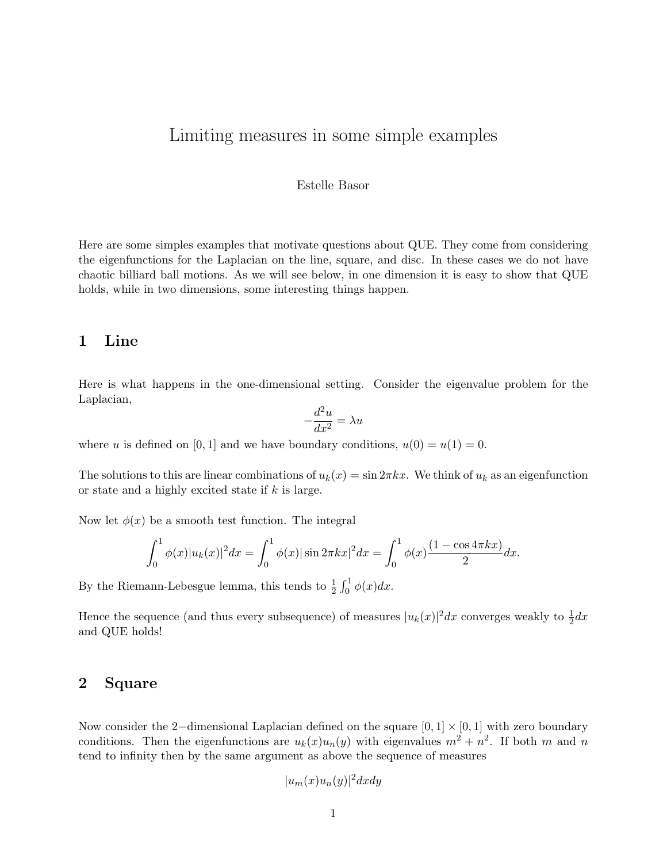# Limiting measures in some simple examples

#### Estelle Basor

Here are some simples examples that motivate questions about QUE. They come from considering the eigenfunctions for the Laplacian on the line, square, and disc. In these cases we do not have chaotic billiard ball motions. As we will see below, in one dimension it is easy to show that QUE holds, while in two dimensions, some interesting things happen.

## 1 Line

Here is what happens in the one-dimensional setting. Consider the eigenvalue problem for the Laplacian,

$$
-\frac{d^2u}{dx^2} = \lambda u
$$

where u is defined on [0, 1] and we have boundary conditions,  $u(0) = u(1) = 0$ .

The solutions to this are linear combinations of  $u_k(x) = \sin 2\pi kx$ . We think of  $u_k$  as an eigenfunction or state and a highly excited state if  $k$  is large.

Now let  $\phi(x)$  be a smooth test function. The integral

$$
\int_0^1 \phi(x)|u_k(x)|^2 dx = \int_0^1 \phi(x)|\sin 2\pi kx|^2 dx = \int_0^1 \phi(x)\frac{(1-\cos 4\pi kx)}{2} dx.
$$

By the Riemann-Lebesgue lemma, this tends to  $\frac{1}{2} \int_0^1 \phi(x) dx$ .

Hence the sequence (and thus every subsequence) of measures  $|u_k(x)|^2 dx$  converges weakly to  $\frac{1}{2}dx$ and QUE holds!

## 2 Square

Now consider the 2–dimensional Laplacian defined on the square  $[0, 1] \times [0, 1]$  with zero boundary conditions. Then the eigenfunctions are  $u_k(x)u_n(y)$  with eigenvalues  $m^2 + n^2$ . If both m and n tend to infinity then by the same argument as above the sequence of measures

$$
|u_m(x)u_n(y)|^2 dx dy
$$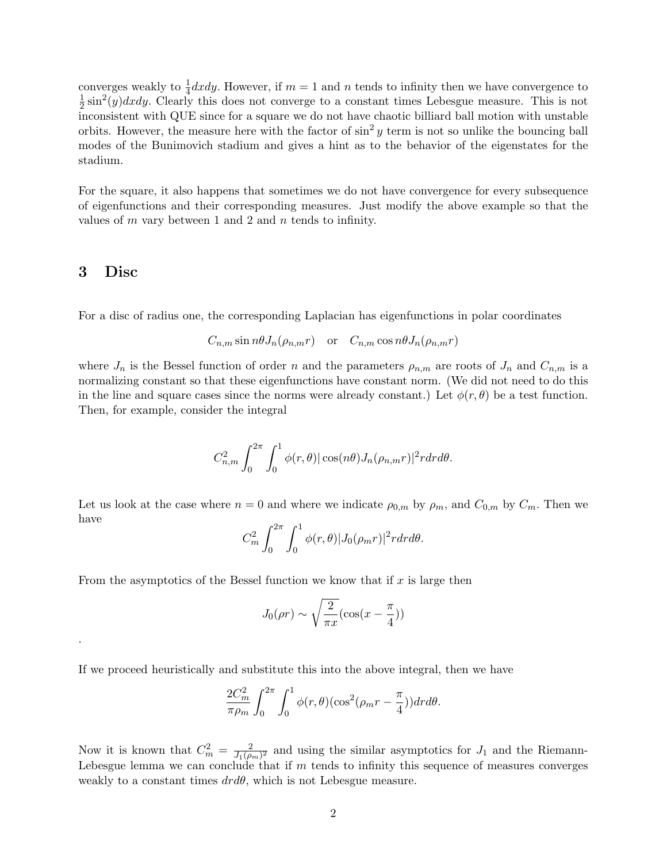converges weakly to  $\frac{1}{4}dxdy$ . However, if  $m=1$  and n tends to infinity then we have convergence to 1  $\frac{1}{2}\sin^2(y)dxdy$ . Clearly this does not converge to a constant times Lebesgue measure. This is not inconsistent with QUE since for a square we do not have chaotic billiard ball motion with unstable orbits. However, the measure here with the factor of  $\sin^2 y$  term is not so unlike the bouncing ball modes of the Bunimovich stadium and gives a hint as to the behavior of the eigenstates for the stadium.

For the square, it also happens that sometimes we do not have convergence for every subsequence of eigenfunctions and their corresponding measures. Just modify the above example so that the values of  $m$  vary between 1 and 2 and  $n$  tends to infinity.

#### 3 Disc

.

For a disc of radius one, the corresponding Laplacian has eigenfunctions in polar coordinates

$$
C_{n,m} \sin n\theta J_n(\rho_{n,m}r) \quad \text{or} \quad C_{n,m} \cos n\theta J_n(\rho_{n,m}r)
$$

where  $J_n$  is the Bessel function of order n and the parameters  $\rho_{n,m}$  are roots of  $J_n$  and  $C_{n,m}$  is a normalizing constant so that these eigenfunctions have constant norm. (We did not need to do this in the line and square cases since the norms were already constant.) Let  $\phi(r, \theta)$  be a test function. Then, for example, consider the integral

$$
C_{n,m}^2 \int_0^{2\pi} \int_0^1 \phi(r,\theta) |\cos(n\theta) J_n(\rho_{n,m}r)|^2 r dr d\theta.
$$

Let us look at the case where  $n = 0$  and where we indicate  $\rho_{0,m}$  by  $\rho_m$ , and  $C_{0,m}$  by  $C_m$ . Then we have

$$
C_m^2 \int_0^{2\pi} \int_0^1 \phi(r,\theta) |J_0(\rho_m r)|^2 r dr d\theta.
$$

From the asymptotics of the Bessel function we know that if  $x$  is large then

$$
J_0(\rho r) \sim \sqrt{\frac{2}{\pi x}} (\cos(x - \frac{\pi}{4}))
$$

If we proceed heuristically and substitute this into the above integral, then we have

$$
\frac{2C_m^2}{\pi \rho_m} \int_0^{2\pi} \int_0^1 \phi(r,\theta) (\cos^2(\rho_m r - \frac{\pi}{4})) dr d\theta.
$$

Now it is known that  $C_m^2 = \frac{2}{J_1(\rho)}$  $\frac{2}{J_1(\rho_m)^2}$  and using the similar asymptotics for  $J_1$  and the Riemann-Lebesgue lemma we can conclude that if  $m$  tends to infinity this sequence of measures converges weakly to a constant times  $dr d\theta$ , which is not Lebesgue measure.